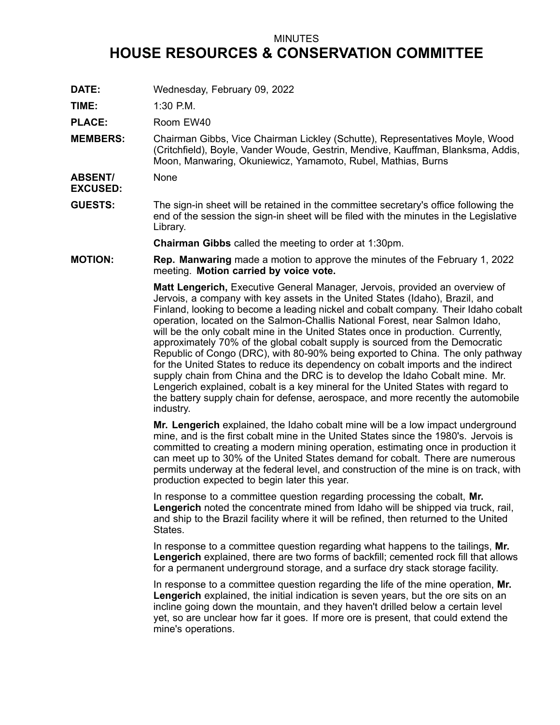## MINUTES

## **HOUSE RESOURCES & CONSERVATION COMMITTEE**

**DATE:** Wednesday, February 09, 2022

**TIME:** 1:30 P.M.

PLACE: Room EW40

**MEMBERS:** Chairman Gibbs, Vice Chairman Lickley (Schutte), Representatives Moyle, Wood (Critchfield), Boyle, Vander Woude, Gestrin, Mendive, Kauffman, Blanksma, Addis, Moon, Manwaring, Okuniewicz, Yamamoto, Rubel, Mathias, Burns

**ABSENT/** None

**EXCUSED:**

**GUESTS:** The sign-in sheet will be retained in the committee secretary's office following the end of the session the sign-in sheet will be filed with the minutes in the Legislative Library.

**Chairman Gibbs** called the meeting to order at 1:30pm.

**MOTION: Rep. Manwaring** made <sup>a</sup> motion to approve the minutes of the February 1, 2022 meeting. **Motion carried by voice vote.**

> **Matt Lengerich,** Executive General Manager, Jervois, provided an overview of Jervois, <sup>a</sup> company with key assets in the United States (Idaho), Brazil, and Finland, looking to become <sup>a</sup> leading nickel and cobalt company. Their Idaho cobalt operation, located on the Salmon-Challis National Forest, near Salmon Idaho, will be the only cobalt mine in the United States once in production. Currently, approximately 70% of the global cobalt supply is sourced from the Democratic Republic of Congo (DRC), with 80-90% being exported to China. The only pathway for the United States to reduce its dependency on cobalt imports and the indirect supply chain from China and the DRC is to develop the Idaho Cobalt mine. Mr. Lengerich explained, cobalt is <sup>a</sup> key mineral for the United States with regard to the battery supply chain for defense, aerospace, and more recently the automobile industry.

> **Mr. Lengerich** explained, the Idaho cobalt mine will be <sup>a</sup> low impact underground mine, and is the first cobalt mine in the United States since the 1980's. Jervois is committed to creating <sup>a</sup> modern mining operation, estimating once in production it can meet up to 30% of the United States demand for cobalt. There are numerous permits underway at the federal level, and construction of the mine is on track, with production expected to begin later this year.

In response to <sup>a</sup> committee question regarding processing the cobalt, **Mr. Lengerich** noted the concentrate mined from Idaho will be shipped via truck, rail, and ship to the Brazil facility where it will be refined, then returned to the United States.

In response to <sup>a</sup> committee question regarding what happens to the tailings, **Mr. Lengerich** explained, there are two forms of backfill; cemented rock fill that allows for <sup>a</sup> permanent underground storage, and <sup>a</sup> surface dry stack storage facility.

In response to <sup>a</sup> committee question regarding the life of the mine operation, **Mr. Lengerich** explained, the initial indication is seven years, but the ore sits on an incline going down the mountain, and they haven't drilled below <sup>a</sup> certain level yet, so are unclear how far it goes. If more ore is present, that could extend the mine's operations.